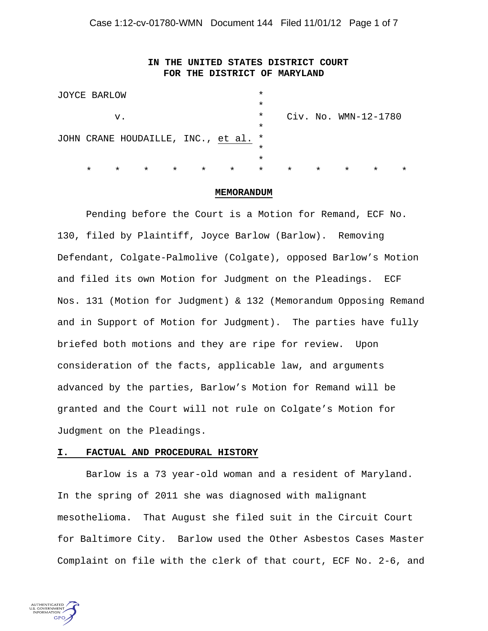# **IN THE UNITED STATES DISTRICT COURT FOR THE DISTRICT OF MARYLAND**

|    | JOYCE BARLOW                         |         |         |         |         |         | $\star$ |                        |         |         |         |         |  |
|----|--------------------------------------|---------|---------|---------|---------|---------|---------|------------------------|---------|---------|---------|---------|--|
|    |                                      |         |         |         |         |         | $\star$ |                        |         |         |         |         |  |
| v. |                                      |         |         |         |         |         | $\star$ | $Civ.$ No. WMN-12-1780 |         |         |         |         |  |
|    |                                      |         |         |         |         |         | $\star$ |                        |         |         |         |         |  |
|    | JOHN CRANE HOUDAILLE, INC., et al. * |         |         |         |         |         |         |                        |         |         |         |         |  |
|    |                                      |         |         |         |         |         | $\star$ |                        |         |         |         |         |  |
|    |                                      |         |         |         |         |         | $\star$ |                        |         |         |         |         |  |
|    | $\star$                              | $\star$ | $\star$ | $\star$ | $\star$ | $\star$ | $\star$ | $\star$                | $\star$ | $\star$ | $\star$ | $\star$ |  |
|    |                                      |         |         |         |         |         |         |                        |         |         |         |         |  |

#### **MEMORANDUM**

 Pending before the Court is a Motion for Remand, ECF No. 130, filed by Plaintiff, Joyce Barlow (Barlow). Removing Defendant, Colgate-Palmolive (Colgate), opposed Barlow's Motion and filed its own Motion for Judgment on the Pleadings. ECF Nos. 131 (Motion for Judgment) & 132 (Memorandum Opposing Remand and in Support of Motion for Judgment). The parties have fully briefed both motions and they are ripe for review. Upon consideration of the facts, applicable law, and arguments advanced by the parties, Barlow's Motion for Remand will be granted and the Court will not rule on Colgate's Motion for Judgment on the Pleadings.

#### **I. FACTUAL AND PROCEDURAL HISTORY**

 Barlow is a 73 year-old woman and a resident of Maryland. In the spring of 2011 she was diagnosed with malignant mesothelioma. That August she filed suit in the Circuit Court for Baltimore City. Barlow used the Other Asbestos Cases Master Complaint on file with the clerk of that court, ECF No. 2-6, and

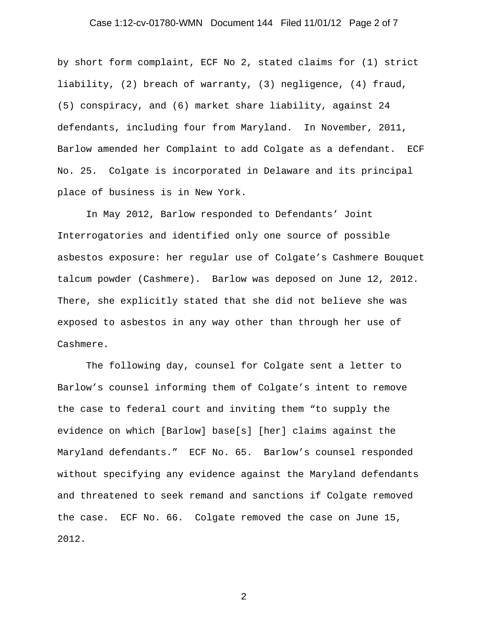# Case 1:12-cv-01780-WMN Document 144 Filed 11/01/12 Page 2 of 7

by short form complaint, ECF No 2, stated claims for (1) strict liability, (2) breach of warranty, (3) negligence, (4) fraud, (5) conspiracy, and (6) market share liability, against 24 defendants, including four from Maryland. In November, 2011, Barlow amended her Complaint to add Colgate as a defendant. ECF No. 25. Colgate is incorporated in Delaware and its principal place of business is in New York.

 In May 2012, Barlow responded to Defendants' Joint Interrogatories and identified only one source of possible asbestos exposure: her regular use of Colgate's Cashmere Bouquet talcum powder (Cashmere). Barlow was deposed on June 12, 2012. There, she explicitly stated that she did not believe she was exposed to asbestos in any way other than through her use of Cashmere.

 The following day, counsel for Colgate sent a letter to Barlow's counsel informing them of Colgate's intent to remove the case to federal court and inviting them "to supply the evidence on which [Barlow] base[s] [her] claims against the Maryland defendants." ECF No. 65. Barlow's counsel responded without specifying any evidence against the Maryland defendants and threatened to seek remand and sanctions if Colgate removed the case. ECF No. 66. Colgate removed the case on June 15, 2012.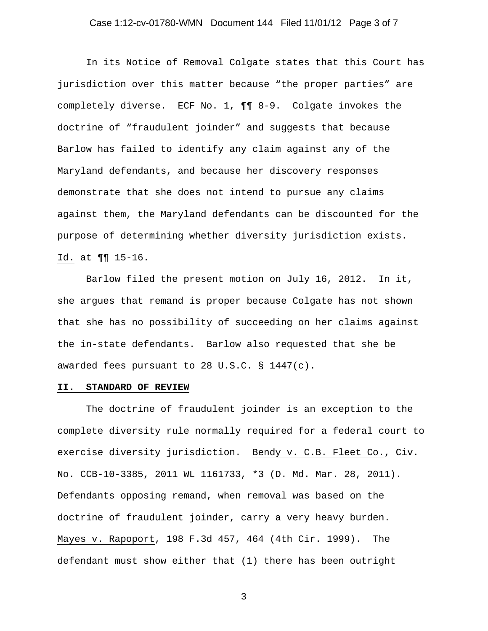### Case 1:12-cv-01780-WMN Document 144 Filed 11/01/12 Page 3 of 7

 In its Notice of Removal Colgate states that this Court has jurisdiction over this matter because "the proper parties" are completely diverse. ECF No. 1, ¶¶ 8-9. Colgate invokes the doctrine of "fraudulent joinder" and suggests that because Barlow has failed to identify any claim against any of the Maryland defendants, and because her discovery responses demonstrate that she does not intend to pursue any claims against them, the Maryland defendants can be discounted for the purpose of determining whether diversity jurisdiction exists. Id. at ¶¶ 15-16.

Barlow filed the present motion on July 16, 2012. In it, she argues that remand is proper because Colgate has not shown that she has no possibility of succeeding on her claims against the in-state defendants. Barlow also requested that she be awarded fees pursuant to 28 U.S.C. § 1447(c).

#### **II. STANDARD OF REVIEW**

 The doctrine of fraudulent joinder is an exception to the complete diversity rule normally required for a federal court to exercise diversity jurisdiction. Bendy v. C.B. Fleet Co., Civ. No. CCB-10-3385, 2011 WL 1161733, \*3 (D. Md. Mar. 28, 2011). Defendants opposing remand, when removal was based on the doctrine of fraudulent joinder, carry a very heavy burden. Mayes v. Rapoport, 198 F.3d 457, 464 (4th Cir. 1999). The defendant must show either that (1) there has been outright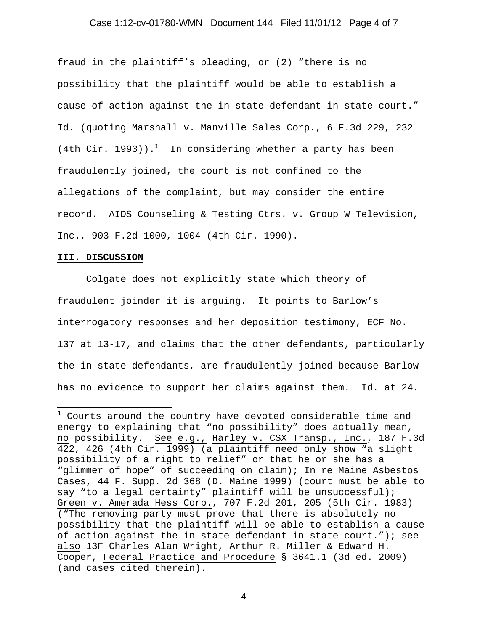#### Case 1:12-cv-01780-WMN Document 144 Filed 11/01/12 Page 4 of 7

fraud in the plaintiff's pleading, or (2) "there is no possibility that the plaintiff would be able to establish a cause of action against the in-state defendant in state court." Id. (quoting Marshall v. Manville Sales Corp., 6 F.3d 229, 232  $(4th Cir. 1993))$ .<sup>1</sup> In considering whether a party has been fraudulently joined, the court is not confined to the allegations of the complaint, but may consider the entire record. AIDS Counseling & Testing Ctrs. v. Group W Television, Inc., 903 F.2d 1000, 1004 (4th Cir. 1990).

#### **III. DISCUSSION**

 Colgate does not explicitly state which theory of fraudulent joinder it is arguing. It points to Barlow's interrogatory responses and her deposition testimony, ECF No. 137 at 13-17, and claims that the other defendants, particularly the in-state defendants, are fraudulently joined because Barlow has no evidence to support her claims against them. Id. at 24.

 1 Courts around the country have devoted considerable time and energy to explaining that "no possibility" does actually mean, no possibility. See e.g., Harley v. CSX Transp., Inc., 187 F.3d 422, 426 (4th Cir. 1999) (a plaintiff need only show "a slight possibility of a right to relief" or that he or she has a "glimmer of hope" of succeeding on claim); In re Maine Asbestos Cases, 44 F. Supp. 2d 368 (D. Maine 1999) (court must be able to say "to a legal certainty" plaintiff will be unsuccessful); Green v. Amerada Hess Corp., 707 F.2d 201, 205 (5th Cir. 1983) ("The removing party must prove that there is absolutely no possibility that the plaintiff will be able to establish a cause of action against the in-state defendant in state court."); see also 13F Charles Alan Wright, Arthur R. Miller & Edward H. Cooper, Federal Practice and Procedure § 3641.1 (3d ed. 2009) (and cases cited therein).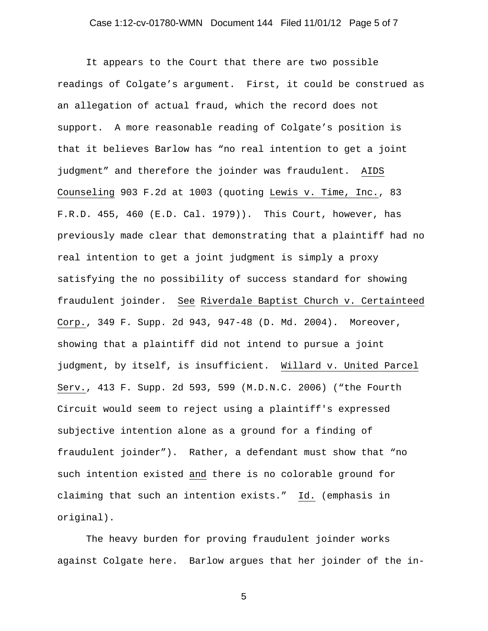# Case 1:12-cv-01780-WMN Document 144 Filed 11/01/12 Page 5 of 7

It appears to the Court that there are two possible readings of Colgate's argument. First, it could be construed as an allegation of actual fraud, which the record does not support. A more reasonable reading of Colgate's position is that it believes Barlow has "no real intention to get a joint judgment" and therefore the joinder was fraudulent. AIDS Counseling 903 F.2d at 1003 (quoting Lewis v. Time, Inc., 83 F.R.D. 455, 460 (E.D. Cal. 1979)). This Court, however, has previously made clear that demonstrating that a plaintiff had no real intention to get a joint judgment is simply a proxy satisfying the no possibility of success standard for showing fraudulent joinder. See Riverdale Baptist Church v. Certainteed Corp., 349 F. Supp. 2d 943, 947-48 (D. Md. 2004). Moreover, showing that a plaintiff did not intend to pursue a joint judgment, by itself, is insufficient. Willard v. United Parcel Serv., 413 F. Supp. 2d 593, 599 (M.D.N.C. 2006) ("the Fourth Circuit would seem to reject using a plaintiff's expressed subjective intention alone as a ground for a finding of fraudulent joinder"). Rather, a defendant must show that "no such intention existed and there is no colorable ground for claiming that such an intention exists." Id. (emphasis in original).

 The heavy burden for proving fraudulent joinder works against Colgate here. Barlow argues that her joinder of the in-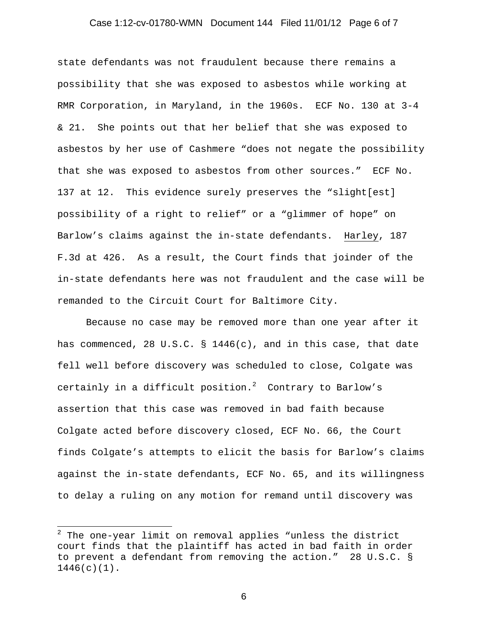### Case 1:12-cv-01780-WMN Document 144 Filed 11/01/12 Page 6 of 7

state defendants was not fraudulent because there remains a possibility that she was exposed to asbestos while working at RMR Corporation, in Maryland, in the 1960s. ECF No. 130 at 3-4 & 21. She points out that her belief that she was exposed to asbestos by her use of Cashmere "does not negate the possibility that she was exposed to asbestos from other sources." ECF No. 137 at 12. This evidence surely preserves the "slight[est] possibility of a right to relief" or a "glimmer of hope" on Barlow's claims against the in-state defendants. Harley, 187 F.3d at 426. As a result, the Court finds that joinder of the in-state defendants here was not fraudulent and the case will be remanded to the Circuit Court for Baltimore City.

 Because no case may be removed more than one year after it has commenced, 28 U.S.C.  $\S$  1446(c), and in this case, that date fell well before discovery was scheduled to close, Colgate was certainly in a difficult position. $^2$  Contrary to Barlow's assertion that this case was removed in bad faith because Colgate acted before discovery closed, ECF No. 66, the Court finds Colgate's attempts to elicit the basis for Barlow's claims against the in-state defendants, ECF No. 65, and its willingness to delay a ruling on any motion for remand until discovery was

 $\overline{a}$ 

 $^2$  The one-year limit on removal applies "unless the district court finds that the plaintiff has acted in bad faith in order to prevent a defendant from removing the action." 28 U.S.C. § 1446(c)(1).